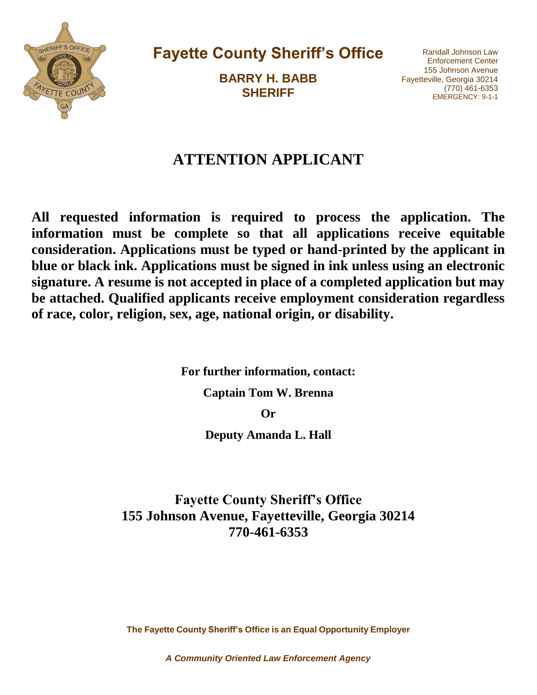

**Fayette County Sheriff's Office**

**BARRY H. BABB SHERIFF** 

Randall Johnson Law Enforcement Center 155 Johnson Avenue Fayetteville, Georgia 30214 (770) 461-6353 EMERGENCY: 9-1-1

# **ATTENTION APPLICANT**

**All requested information is required to process the application. The information must be complete so that all applications receive equitable consideration. Applications must be typed or hand-printed by the applicant in blue or black ink. Applications must be signed in ink unless using an electronic signature. A resume is not accepted in place of a completed application but may be attached. Qualified applicants receive employment consideration regardless of race, color, religion, sex, age, national origin, or disability.** 

**For further information, contact:** 

**Captain Tom W. Brenna** 

**Or** 

**Deputy Amanda L. Hall** 

**Fayette County Sheriff's Office 155 Johnson Avenue, Fayetteville, Georgia 30214 770-461-6353**

**The Fayette County Sheriff's Office is an Equal Opportunity Employer**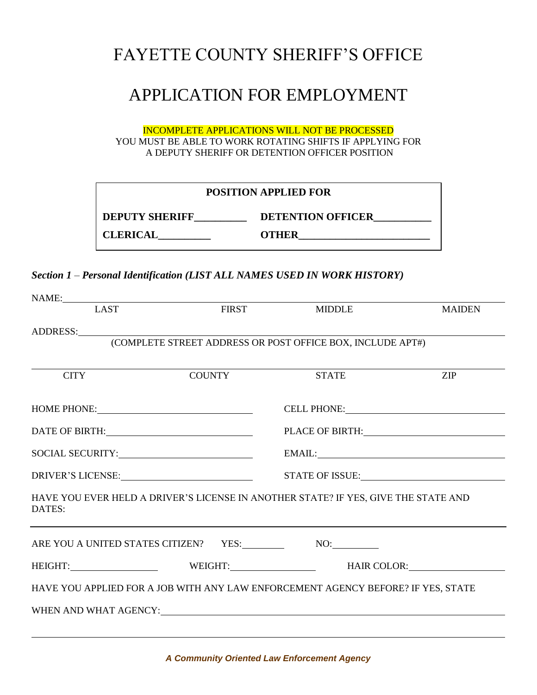# FAYETTE COUNTY SHERIFF'S OFFICE

# APPLICATION FOR EMPLOYMENT

INCOMPLETE APPLICATIONS WILL NOT BE PROCESSED YOU MUST BE ABLE TO WORK ROTATING SHIFTS IF APPLYING FOR A DEPUTY SHERIFF OR DETENTION OFFICER POSITION

| <b>POSITION APPLIED FOR</b> |                          |  |
|-----------------------------|--------------------------|--|
| <b>DEPUTY SHERIFF</b>       | <b>DETENTION OFFICER</b> |  |
| <b>CLERICAL</b>             | OTHER                    |  |

#### *Section 1 – Personal Identification (LIST ALL NAMES USED IN WORK HISTORY)*

| LAST                                                                                                                                                                                                                          | <b>FIRST</b>                                                                     | <b>MIDDLE</b>                                                                                                                                                                                                                                                                                                                                                                                                                                         | <b>MAIDEN</b> |
|-------------------------------------------------------------------------------------------------------------------------------------------------------------------------------------------------------------------------------|----------------------------------------------------------------------------------|-------------------------------------------------------------------------------------------------------------------------------------------------------------------------------------------------------------------------------------------------------------------------------------------------------------------------------------------------------------------------------------------------------------------------------------------------------|---------------|
|                                                                                                                                                                                                                               |                                                                                  |                                                                                                                                                                                                                                                                                                                                                                                                                                                       |               |
|                                                                                                                                                                                                                               |                                                                                  |                                                                                                                                                                                                                                                                                                                                                                                                                                                       |               |
|                                                                                                                                                                                                                               |                                                                                  |                                                                                                                                                                                                                                                                                                                                                                                                                                                       |               |
| <b>CITY</b>                                                                                                                                                                                                                   | <b>COUNTY</b>                                                                    | <b>STATE</b>                                                                                                                                                                                                                                                                                                                                                                                                                                          | <b>ZIP</b>    |
|                                                                                                                                                                                                                               |                                                                                  |                                                                                                                                                                                                                                                                                                                                                                                                                                                       |               |
| HOME PHONE: New York Changes and Separate Changes and Separate Changes and Separate Changes and Separate Changes and Separate Changes and Separate Changes and Separate Changes and Separate Changes and Separate Changes and |                                                                                  | CELL PHONE: VALUE AND THE STATE OF THE STATE OF THE STATE OF THE STATE OF THE STATE OF THE STATE OF THE STATE OF THE STATE OF THE STATE OF THE STATE OF THE STATE OF THE STATE OF THE STATE OF THE STATE OF THE STATE OF THE S                                                                                                                                                                                                                        |               |
|                                                                                                                                                                                                                               |                                                                                  | PLACE OF BIRTH: PLACE OF BIRTH                                                                                                                                                                                                                                                                                                                                                                                                                        |               |
|                                                                                                                                                                                                                               |                                                                                  | $EMAIL: \begin{tabular}{ c c c c } \hline \multicolumn{3}{ c }{EMAIL:} \multicolumn{3}{ c }{\hline \multicolumn{3}{ c }{\hline \multicolumn{3}{ c }{\hline \multicolumn{3}{ c }{\hline \multicolumn{3}{ c }{\hline \multicolumn{3}{ c }{\hline \multicolumn{3}{ c }{\hline \multicolumn{3}{ c }{\hline \multicolumn{3}{ c }{\hline \multicolumn{3}{ c }{\hline \multicolumn{3}{ c }{\hline \multicolumn{3}{ c }{\hline \multicolumn{3}{ c }{\hline \$ |               |
| DRIVER'S LICENSE: University of the UNIVER'S LICENSE:                                                                                                                                                                         |                                                                                  |                                                                                                                                                                                                                                                                                                                                                                                                                                                       |               |
| HAVE YOU EVER HELD A DRIVER'S LICENSE IN ANOTHER STATE? IF YES, GIVE THE STATE AND<br>DATES:                                                                                                                                  |                                                                                  |                                                                                                                                                                                                                                                                                                                                                                                                                                                       |               |
| ARE YOU A UNITED STATES CITIZEN? YES: NO: NO:                                                                                                                                                                                 | ,我们也不会有什么。""我们的人,我们也不会有什么?""我们的人,我们也不会有什么?""我们的人,我们也不会有什么?""我们的人,我们也不会有什么?""我们的人 |                                                                                                                                                                                                                                                                                                                                                                                                                                                       |               |
| HEIGHT: WEIGHT: WEIGHT: HAIR COLOR:                                                                                                                                                                                           |                                                                                  |                                                                                                                                                                                                                                                                                                                                                                                                                                                       |               |
| HAVE YOU APPLIED FOR A JOB WITH ANY LAW ENFORCEMENT AGENCY BEFORE? IF YES, STATE                                                                                                                                              |                                                                                  |                                                                                                                                                                                                                                                                                                                                                                                                                                                       |               |
|                                                                                                                                                                                                                               |                                                                                  |                                                                                                                                                                                                                                                                                                                                                                                                                                                       |               |
|                                                                                                                                                                                                                               |                                                                                  |                                                                                                                                                                                                                                                                                                                                                                                                                                                       |               |

l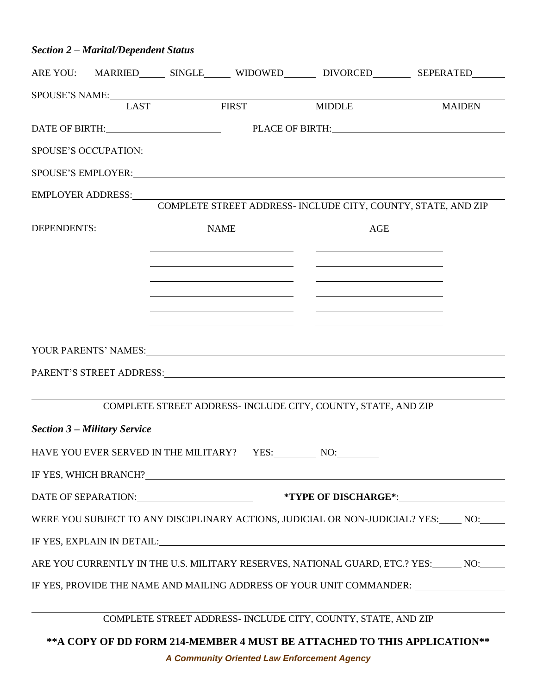### *Section 2 – Marital/Dependent Status*

|             |                                     |             |                                                                                                                                                                                                          |                                                                                                                                                                                                                                      | ARE YOU: MARRIED_______ SINGLE_______ WIDOWED__________ DIVORCED__________ SEPERATED________ |
|-------------|-------------------------------------|-------------|----------------------------------------------------------------------------------------------------------------------------------------------------------------------------------------------------------|--------------------------------------------------------------------------------------------------------------------------------------------------------------------------------------------------------------------------------------|----------------------------------------------------------------------------------------------|
|             |                                     |             | SPOUSE'S NAME:<br>I AST FIRST MIDDLE                                                                                                                                                                     |                                                                                                                                                                                                                                      |                                                                                              |
|             |                                     |             |                                                                                                                                                                                                          |                                                                                                                                                                                                                                      | <b>MAIDEN</b>                                                                                |
|             |                                     |             |                                                                                                                                                                                                          |                                                                                                                                                                                                                                      | DATE OF BIRTH: PLACE OF BIRTH: PLACE OF BIRTH:                                               |
|             |                                     |             |                                                                                                                                                                                                          |                                                                                                                                                                                                                                      | SPOUSE'S OCCUPATION: University of the SPOUSE'S OCCUPATION:                                  |
|             |                                     |             |                                                                                                                                                                                                          |                                                                                                                                                                                                                                      |                                                                                              |
|             | EMPLOYER ADDRESS:                   |             |                                                                                                                                                                                                          |                                                                                                                                                                                                                                      |                                                                                              |
|             |                                     |             |                                                                                                                                                                                                          | COMPLETE STREET ADDRESS- INCLUDE CITY, COUNTY, STATE, AND ZIP                                                                                                                                                                        |                                                                                              |
| DEPENDENTS: |                                     | <b>NAME</b> |                                                                                                                                                                                                          | <b>AGE</b>                                                                                                                                                                                                                           |                                                                                              |
|             |                                     |             |                                                                                                                                                                                                          |                                                                                                                                                                                                                                      |                                                                                              |
|             |                                     |             | the contract of the contract of the contract of the contract of the contract of<br><u> 1989 - Johann Barbara, martin amerikan basar dan basa dan basa dan basa dalam basa dalam basa dalam basa dala</u> | the contract of the contract of the contract of the contract of the contract of<br><u> 1989 - Johann Barbara, martin amerikan basar dan basa dan basar dan basar dalam basa dalam basa dan basa dan</u>                              |                                                                                              |
|             |                                     |             | <u> 1989 - Johann Barnett, fransk politiker (d. 1989)</u>                                                                                                                                                | <u>state and the state of the state of the state of the state of the state of the state of the state of the state of the state of the state of the state of the state of the state of the state of the state of the state of the</u> |                                                                                              |
|             |                                     |             | <u> 1989 - Johann Stein, mars an deutscher Stein und der Stein und der Stein und der Stein und der Stein und der</u>                                                                                     |                                                                                                                                                                                                                                      |                                                                                              |
|             |                                     |             | <u> 1989 - Johann Harry Harry Harry Harry Harry Harry Harry Harry Harry Harry Harry Harry Harry Harry Harry Harry</u>                                                                                    | <u>and the second control of the second control of</u>                                                                                                                                                                               |                                                                                              |
|             |                                     |             |                                                                                                                                                                                                          | YOUR PARENTS' NAMES: The Second Second Second Second Second Second Second Second Second Second Second Second Second Second Second Second Second Second Second Second Second Second Second Second Second Second Second Second S       |                                                                                              |
|             |                                     |             |                                                                                                                                                                                                          |                                                                                                                                                                                                                                      |                                                                                              |
|             |                                     |             |                                                                                                                                                                                                          |                                                                                                                                                                                                                                      |                                                                                              |
|             |                                     |             |                                                                                                                                                                                                          | COMPLETE STREET ADDRESS- INCLUDE CITY, COUNTY, STATE, AND ZIP                                                                                                                                                                        |                                                                                              |
|             | <b>Section 3 – Military Service</b> |             |                                                                                                                                                                                                          |                                                                                                                                                                                                                                      |                                                                                              |
|             |                                     |             |                                                                                                                                                                                                          | HAVE YOU EVER SERVED IN THE MILITARY? YES: NO: NO:                                                                                                                                                                                   |                                                                                              |
|             |                                     |             |                                                                                                                                                                                                          | IF YES, WHICH BRANCH? VERSION CONTROL IN THE SERVICE OF THE SERVICE OF THE SERVICE OF THE SERVICE OF THE SERVICE OF THE SERVICE OF THE SERVICE OF THE SERVICE OF THE SERVICE OF THE SERVICE OF THE SERVICE OF THE SERVICE OF T       |                                                                                              |
|             |                                     |             |                                                                                                                                                                                                          |                                                                                                                                                                                                                                      |                                                                                              |
|             |                                     |             |                                                                                                                                                                                                          |                                                                                                                                                                                                                                      | WERE YOU SUBJECT TO ANY DISCIPLINARY ACTIONS, JUDICIAL OR NON-JUDICIAL? YES: NO: NORE        |
|             |                                     |             |                                                                                                                                                                                                          |                                                                                                                                                                                                                                      |                                                                                              |
|             |                                     |             |                                                                                                                                                                                                          |                                                                                                                                                                                                                                      |                                                                                              |
|             |                                     |             |                                                                                                                                                                                                          |                                                                                                                                                                                                                                      | ARE YOU CURRENTLY IN THE U.S. MILITARY RESERVES, NATIONAL GUARD, ETC.? YES: NO: NO:          |
|             |                                     |             |                                                                                                                                                                                                          |                                                                                                                                                                                                                                      | IF YES, PROVIDE THE NAME AND MAILING ADDRESS OF YOUR UNIT COMMANDER: ____________            |
|             |                                     |             |                                                                                                                                                                                                          | COMPLETE STREET ADDRESS- INCLUDE CITY, COUNTY, STATE, AND ZIP                                                                                                                                                                        |                                                                                              |
|             |                                     |             |                                                                                                                                                                                                          |                                                                                                                                                                                                                                      |                                                                                              |
|             |                                     |             |                                                                                                                                                                                                          | ** A COPY OF DD FORM 214-MEMBER 4 MUST BE ATTACHED TO THIS APPLICATION**                                                                                                                                                             |                                                                                              |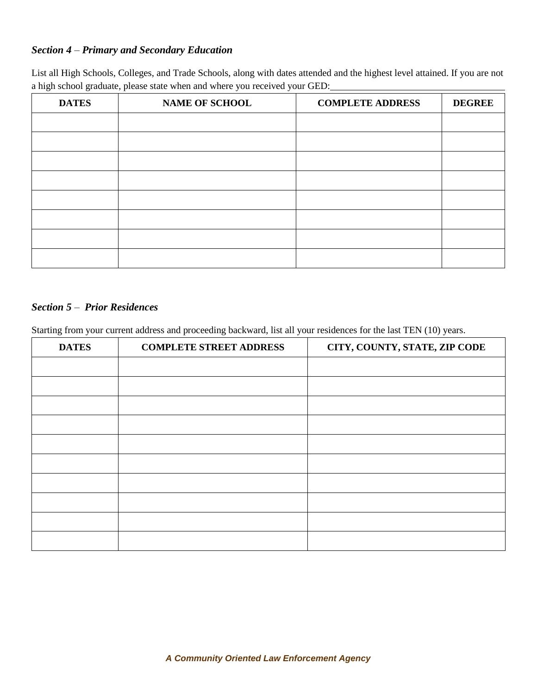### *Section 4 – Primary and Secondary Education*

List all High Schools, Colleges, and Trade Schools, along with dates attended and the highest level attained. If you are not a high school graduate, please state when and where you received your GED:

| <b>DATES</b> | <b>NAME OF SCHOOL</b> | <b>COMPLETE ADDRESS</b> | <b>DEGREE</b> |
|--------------|-----------------------|-------------------------|---------------|
|              |                       |                         |               |
|              |                       |                         |               |
|              |                       |                         |               |
|              |                       |                         |               |
|              |                       |                         |               |
|              |                       |                         |               |
|              |                       |                         |               |
|              |                       |                         |               |

#### *Section 5 – Prior Residences*

Starting from your current address and proceeding backward, list all your residences for the last TEN (10) years.

| <b>DATES</b> | <b>COMPLETE STREET ADDRESS</b> | CITY, COUNTY, STATE, ZIP CODE |
|--------------|--------------------------------|-------------------------------|
|              |                                |                               |
|              |                                |                               |
|              |                                |                               |
|              |                                |                               |
|              |                                |                               |
|              |                                |                               |
|              |                                |                               |
|              |                                |                               |
|              |                                |                               |
|              |                                |                               |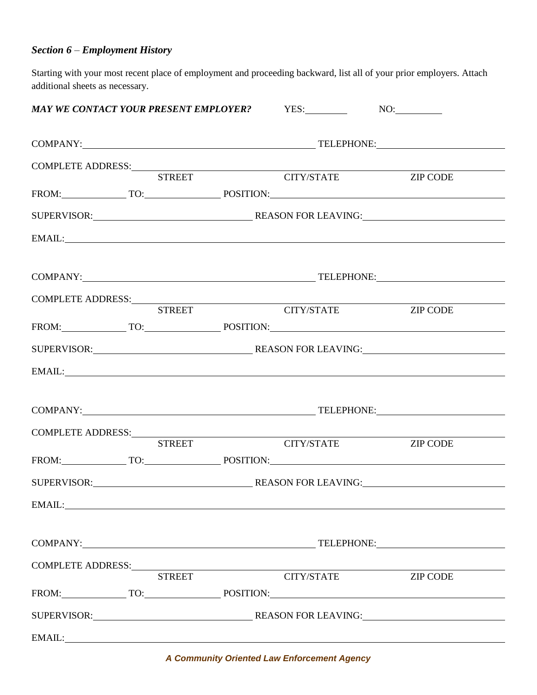### *Section 6 – Employment History*

Starting with your most recent place of employment and proceeding backward, list all of your prior employers. Attach additional sheets as necessary.

|                   |               |                                                                                                                                                                                                                                | MAY WE CONTACT YOUR PRESENT EMPLOYER? YES: NO: NO:                                                                                                                                                                                                                                                                                                                                                                                                                                                                                       |                                               |
|-------------------|---------------|--------------------------------------------------------------------------------------------------------------------------------------------------------------------------------------------------------------------------------|------------------------------------------------------------------------------------------------------------------------------------------------------------------------------------------------------------------------------------------------------------------------------------------------------------------------------------------------------------------------------------------------------------------------------------------------------------------------------------------------------------------------------------------|-----------------------------------------------|
|                   |               |                                                                                                                                                                                                                                |                                                                                                                                                                                                                                                                                                                                                                                                                                                                                                                                          | COMPANY: TELEPHONE: TELEPHONE:                |
|                   |               |                                                                                                                                                                                                                                |                                                                                                                                                                                                                                                                                                                                                                                                                                                                                                                                          |                                               |
|                   |               |                                                                                                                                                                                                                                | $\begin{tabular}{c} COMPLETE ADDRESS: \end{tabular} \begin{tabular}{c} \multicolumn{2}{c} {\bf \end{tabular}} \begin{tabular}{c} \multicolumn{2}{c} {\bf \end{tabular}} \begin{tabular}{c} \multicolumn{2}{c} {\bf \end{tabular}} \begin{tabular}{c} \multicolumn{2}{c} {\bf \end{tabular}} \begin{tabular}{c} \multicolumn{2}{c} {\bf \end{tabular}} \end{tabular} \begin{tabular}{c} \multicolumn{2}{c} {\bf \end{tabular}} \begin{tabular}{c} \multicolumn{2}{c} {\bf \end{tabular}} \begin{tabular}{c$<br><b>CITY/STATE ZIP CODE</b> |                                               |
|                   |               |                                                                                                                                                                                                                                |                                                                                                                                                                                                                                                                                                                                                                                                                                                                                                                                          | FROM: TO: TO: POSITION:                       |
|                   |               |                                                                                                                                                                                                                                |                                                                                                                                                                                                                                                                                                                                                                                                                                                                                                                                          |                                               |
|                   |               |                                                                                                                                                                                                                                |                                                                                                                                                                                                                                                                                                                                                                                                                                                                                                                                          | EMAIL: EMAIL:                                 |
|                   |               |                                                                                                                                                                                                                                |                                                                                                                                                                                                                                                                                                                                                                                                                                                                                                                                          |                                               |
|                   |               |                                                                                                                                                                                                                                |                                                                                                                                                                                                                                                                                                                                                                                                                                                                                                                                          |                                               |
|                   |               |                                                                                                                                                                                                                                | $\begin{tabular}{c} COMPLETE ADDRESS: \end{tabular} \begin{tabular}{c} \multicolumn{2}{c} {\bf \end{tabular}} \begin{tabular}{c} \multicolumn{2}{c} {\bf \end{tabular}} \begin{tabular}{c} \multicolumn{2}{c} {\bf \end{tabular}} \begin{tabular}{c} \multicolumn{2}{c} {\bf \end{tabular}} \begin{tabular}{c} \multicolumn{2}{c} {\bf \end{tabular}} \end{tabular} \begin{tabular}{c} \multicolumn{2}{c} {\bf \end{tabular}} \begin{tabular}{c} \multicolumn{2}{c} {\bf \end{tabular}} \begin{tabular}{c$                               | <b>ZIP CODE</b>                               |
|                   |               |                                                                                                                                                                                                                                |                                                                                                                                                                                                                                                                                                                                                                                                                                                                                                                                          | FROM: TO: TO: POSITION:                       |
|                   |               |                                                                                                                                                                                                                                |                                                                                                                                                                                                                                                                                                                                                                                                                                                                                                                                          |                                               |
|                   |               |                                                                                                                                                                                                                                |                                                                                                                                                                                                                                                                                                                                                                                                                                                                                                                                          | EMAIL: EMAIL:                                 |
|                   |               |                                                                                                                                                                                                                                |                                                                                                                                                                                                                                                                                                                                                                                                                                                                                                                                          |                                               |
|                   |               |                                                                                                                                                                                                                                |                                                                                                                                                                                                                                                                                                                                                                                                                                                                                                                                          |                                               |
|                   | <b>STREET</b> |                                                                                                                                                                                                                                | CITY/STATE                                                                                                                                                                                                                                                                                                                                                                                                                                                                                                                               | <b>ZIP CODE</b>                               |
|                   |               |                                                                                                                                                                                                                                |                                                                                                                                                                                                                                                                                                                                                                                                                                                                                                                                          | FROM: TO: TO: POSITION: NORTHANNELL POSITION: |
|                   |               |                                                                                                                                                                                                                                |                                                                                                                                                                                                                                                                                                                                                                                                                                                                                                                                          |                                               |
|                   |               |                                                                                                                                                                                                                                |                                                                                                                                                                                                                                                                                                                                                                                                                                                                                                                                          |                                               |
|                   |               |                                                                                                                                                                                                                                |                                                                                                                                                                                                                                                                                                                                                                                                                                                                                                                                          | COMPANY: TELEPHONE: TELEPHONE:                |
| COMPLETE ADDRESS: |               |                                                                                                                                                                                                                                |                                                                                                                                                                                                                                                                                                                                                                                                                                                                                                                                          |                                               |
|                   | <b>STREET</b> |                                                                                                                                                                                                                                | <b>CITY/STATE</b>                                                                                                                                                                                                                                                                                                                                                                                                                                                                                                                        | <b>ZIP CODE</b>                               |
|                   |               |                                                                                                                                                                                                                                |                                                                                                                                                                                                                                                                                                                                                                                                                                                                                                                                          | FROM: TO: TO: POSITION:                       |
|                   |               |                                                                                                                                                                                                                                |                                                                                                                                                                                                                                                                                                                                                                                                                                                                                                                                          |                                               |
|                   |               | EMAIL: New York Contract the Contract of the Contract of the Contract of the Contract of the Contract of the Contract of the Contract of the Contract of the Contract of the Contract of the Contract of the Contract of the C |                                                                                                                                                                                                                                                                                                                                                                                                                                                                                                                                          |                                               |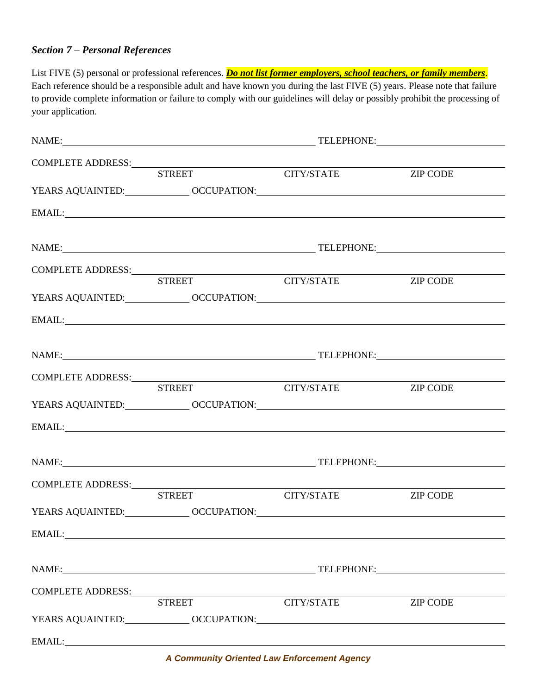#### *Section 7 – Personal References*

List FIVE (5) personal or professional references. *Do not list former employers, school teachers, or family members*. Each reference should be a responsible adult and have known you during the last FIVE (5) years. Please note that failure to provide complete information or failure to comply with our guidelines will delay or possibly prohibit the processing of your application.

| NAME: TELEPHONE:                                                                                                                                                                      |                   |                 |  |
|---------------------------------------------------------------------------------------------------------------------------------------------------------------------------------------|-------------------|-----------------|--|
|                                                                                                                                                                                       |                   |                 |  |
| $\begin{tabular}{c} COMPLETE ADDRESS: \\ \hline \multicolumn{3}{c}{\textbf{STREE}} \\ \multicolumn{3}{c}{\textbf{STREE}} \\ \multicolumn{3}{c}{\textbf{CTTY/STATE}} \\ \end{tabular}$ |                   | <b>ZIP CODE</b> |  |
|                                                                                                                                                                                       |                   |                 |  |
| EMAIL: EMAIL:                                                                                                                                                                         |                   |                 |  |
| NAME: TELEPHONE:                                                                                                                                                                      |                   |                 |  |
|                                                                                                                                                                                       |                   |                 |  |
|                                                                                                                                                                                       | CITY/STATE        | <b>ZIP CODE</b> |  |
|                                                                                                                                                                                       |                   |                 |  |
| EMAIL: EMAIL:                                                                                                                                                                         |                   |                 |  |
|                                                                                                                                                                                       |                   |                 |  |
|                                                                                                                                                                                       |                   |                 |  |
| <b>STREET</b>                                                                                                                                                                         | <b>CITY/STATE</b> | <b>ZIP CODE</b> |  |
|                                                                                                                                                                                       |                   |                 |  |
| EMAIL: EMAIL:                                                                                                                                                                         |                   |                 |  |
|                                                                                                                                                                                       |                   |                 |  |
|                                                                                                                                                                                       |                   |                 |  |
|                                                                                                                                                                                       |                   |                 |  |
| <b>STREET</b>                                                                                                                                                                         | CITY/STATE        | <b>ZIP CODE</b> |  |
|                                                                                                                                                                                       |                   |                 |  |
|                                                                                                                                                                                       |                   |                 |  |
|                                                                                                                                                                                       |                   |                 |  |
| NAME: TELEPHONE:                                                                                                                                                                      |                   |                 |  |
| COMPLETE ADDRESS:<br>STREET                                                                                                                                                           |                   |                 |  |
|                                                                                                                                                                                       | <b>CITY/STATE</b> | <b>ZIP CODE</b> |  |
|                                                                                                                                                                                       |                   |                 |  |
|                                                                                                                                                                                       |                   |                 |  |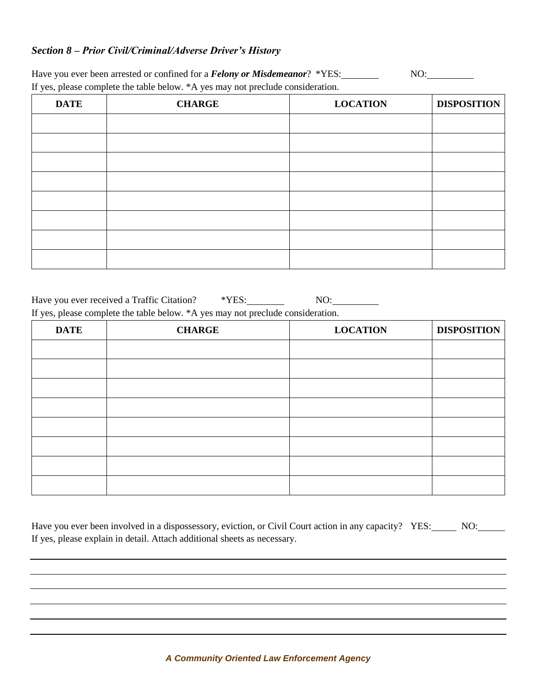#### *Section 8 – Prior Civil/Criminal/Adverse Driver's History*

Have you ever been arrested or confined for a *Felony or Misdemeanor*? \*YES: NO: NO: If yes, please complete the table below. \*A yes may not preclude consideration.

| <b>DATE</b> | <b>CHARGE</b> | <b>LOCATION</b> | <b>DISPOSITION</b> |
|-------------|---------------|-----------------|--------------------|
|             |               |                 |                    |
|             |               |                 |                    |
|             |               |                 |                    |
|             |               |                 |                    |
|             |               |                 |                    |
|             |               |                 |                    |
|             |               |                 |                    |
|             |               |                 |                    |

Have you ever received a Traffic Citation? \*\*YES: NO: NO: If yes, please complete the table below. \*A yes may not preclude consideration.

| <b>DATE</b> | <b>CHARGE</b> | <b>LOCATION</b> | <b>DISPOSITION</b> |
|-------------|---------------|-----------------|--------------------|
|             |               |                 |                    |
|             |               |                 |                    |
|             |               |                 |                    |
|             |               |                 |                    |
|             |               |                 |                    |
|             |               |                 |                    |
|             |               |                 |                    |
|             |               |                 |                    |

| Have you ever been involved in a dispossessory, eviction, or Civil Court action in any capacity? YES: NO: No: |  |
|---------------------------------------------------------------------------------------------------------------|--|
| If yes, please explain in detail. Attach additional sheets as necessary.                                      |  |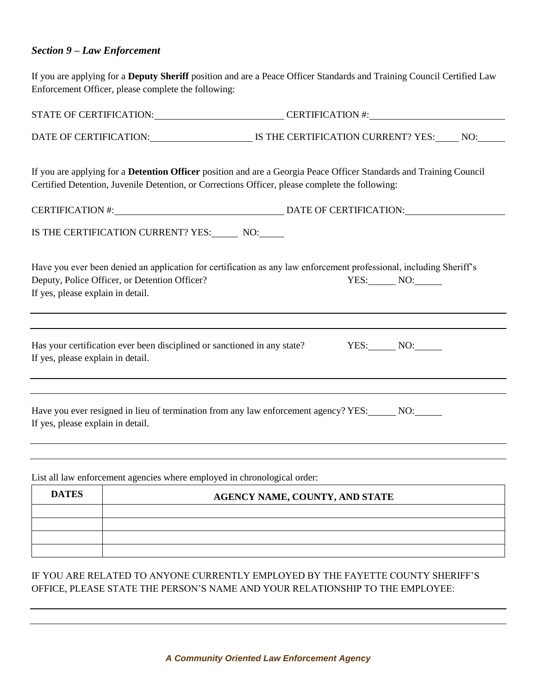#### *Section 9 – Law Enforcement*

If you are applying for a **Deputy Sheriff** position and are a Peace Officer Standards and Training Council Certified Law Enforcement Officer, please complete the following:

|                                   |                                               | STATE OF CERTIFICATION: CERTIFICATION #:                                                                                                                                                                               |  |
|-----------------------------------|-----------------------------------------------|------------------------------------------------------------------------------------------------------------------------------------------------------------------------------------------------------------------------|--|
|                                   |                                               | DATE OF CERTIFICATION: IS THE CERTIFICATION CURRENT? YES: NO:                                                                                                                                                          |  |
|                                   |                                               | If you are applying for a Detention Officer position and are a Georgia Peace Officer Standards and Training Council<br>Certified Detention, Juvenile Detention, or Corrections Officer, please complete the following: |  |
|                                   |                                               |                                                                                                                                                                                                                        |  |
|                                   |                                               | IS THE CERTIFICATION CURRENT? YES: NO: NO:                                                                                                                                                                             |  |
| If yes, please explain in detail. | Deputy, Police Officer, or Detention Officer? | Have you ever been denied an application for certification as any law enforcement professional, including Sheriff's<br>$YES:$ NO: $\qquad$                                                                             |  |
| If yes, please explain in detail. |                                               | Has your certification ever been disciplined or sanctioned in any state? YES: NO: NO:                                                                                                                                  |  |
| If yes, please explain in detail. |                                               | Have you ever resigned in lieu of termination from any law enforcement agency? YES: NO:                                                                                                                                |  |
|                                   |                                               | List all law enforcement agencies where employed in chronological order:                                                                                                                                               |  |
| <b>DATES</b>                      |                                               | AGENCY NAME, COUNTY, AND STATE                                                                                                                                                                                         |  |
|                                   |                                               |                                                                                                                                                                                                                        |  |

#### IF YOU ARE RELATED TO ANYONE CURRENTLY EMPLOYED BY THE FAYETTE COUNTY SHERIFF'S OFFICE, PLEASE STATE THE PERSON'S NAME AND YOUR RELATIONSHIP TO THE EMPLOYEE: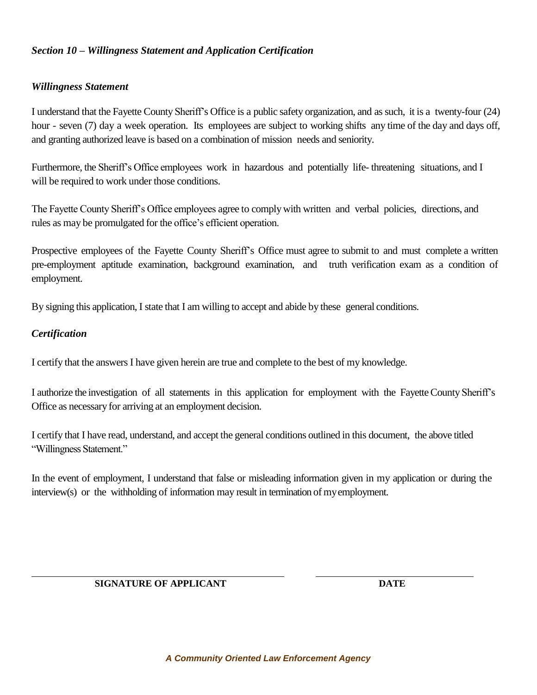#### *Section 10 – Willingness Statement and Application Certification*

#### *Willingness Statement*

I understand that the Fayette County Sheriff's Office is a public safety organization, and as such, it is a twenty-four (24) hour - seven (7) day a week operation. Its employees are subject to working shifts any time of the day and days off, and granting authorized leave is based on a combination of mission needs and seniority.

Furthermore, the Sheriff's Office employees work in hazardous and potentially life- threatening situations, and I will be required to work under those conditions.

The Fayette County Sheriff's Office employees agree to comply with written and verbal policies, directions, and rules as may be promulgated for the office's efficient operation.

Prospective employees of the Fayette County Sheriff's Office must agree to submit to and must complete a written pre-employment aptitude examination, background examination, and truth verification exam as a condition of employment.

By signing this application, I state that I am willing to accept and abide by these general conditions.

#### *Certification*

l

I certify that the answers I have given herein are true and complete to the best of my knowledge.

I authorize the investigation of all statements in this application for employment with the Fayette County Sheriff's Office as necessary for arriving at an employment decision.

I certify that I have read, understand, and accept the general conditions outlined in this document, the above titled "Willingness Statement."

In the event of employment, I understand that false or misleading information given in my application or during the interview(s) or the withholding of information may result in termination of my employment.

#### **SIGNATURE OF APPLICANT DATE**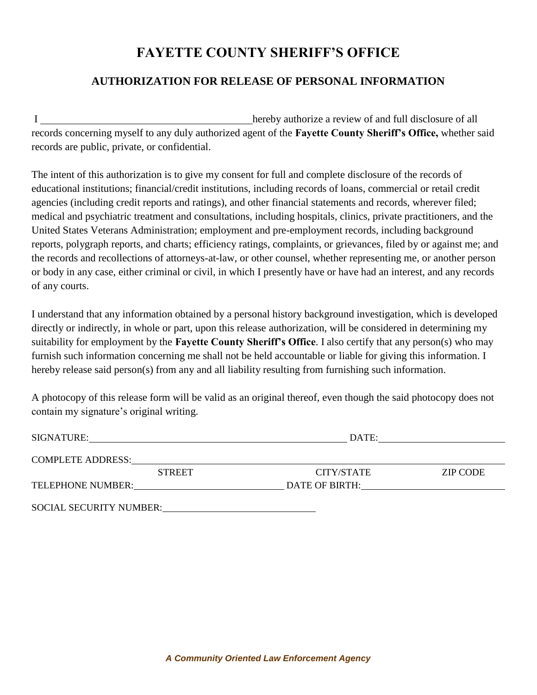# **FAYETTE COUNTY SHERIFF'S OFFICE**

## **AUTHORIZATION FOR RELEASE OF PERSONAL INFORMATION**

I hereby authorize a review of and full disclosure of all records concerning myself to any duly authorized agent of the **Fayette County Sheriff's Office,** whether said records are public, private, or confidential.

The intent of this authorization is to give my consent for full and complete disclosure of the records of educational institutions; financial/credit institutions, including records of loans, commercial or retail credit agencies (including credit reports and ratings), and other financial statements and records, wherever filed; medical and psychiatric treatment and consultations, including hospitals, clinics, private practitioners, and the United States Veterans Administration; employment and pre-employment records, including background reports, polygraph reports, and charts; efficiency ratings, complaints, or grievances, filed by or against me; and the records and recollections of attorneys-at-law, or other counsel, whether representing me, or another person or body in any case, either criminal or civil, in which I presently have or have had an interest, and any records of any courts.

I understand that any information obtained by a personal history background investigation, which is developed directly or indirectly, in whole or part, upon this release authorization, will be considered in determining my suitability for employment by the **Fayette County Sheriff's Office**. I also certify that any person(s) who may furnish such information concerning me shall not be held accountable or liable for giving this information. I hereby release said person(s) from any and all liability resulting from furnishing such information.

A photocopy of this release form will be valid as an original thereof, even though the said photocopy does not contain my signature's original writing.

| SIGNATURE:                     | DATE:          |                 |
|--------------------------------|----------------|-----------------|
| <b>COMPLETE ADDRESS:</b>       |                |                 |
| <b>STREET</b>                  | CITY/STATE     | <b>ZIP CODE</b> |
| TELEPHONE NUMBER:              | DATE OF BIRTH: |                 |
| <b>SOCIAL SECURITY NUMBER:</b> |                |                 |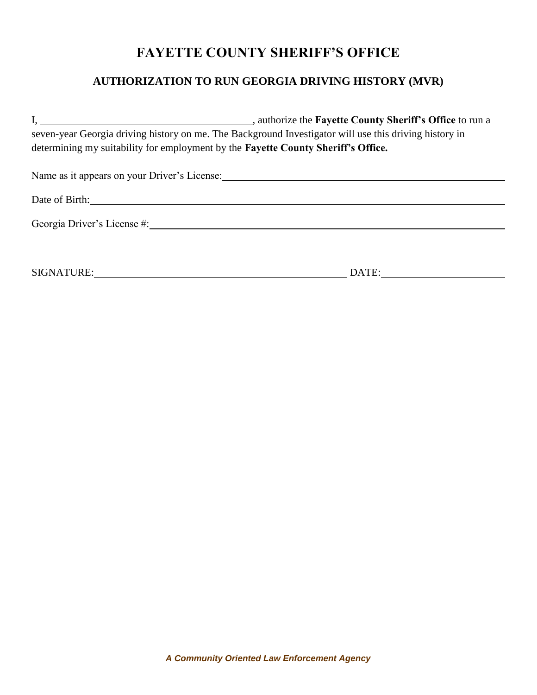# **FAYETTE COUNTY SHERIFF'S OFFICE**

## **AUTHORIZATION TO RUN GEORGIA DRIVING HISTORY (MVR)**

| authorize the Fayette County Sheriff's Office to run a                                                 |  |  |  |  |  |
|--------------------------------------------------------------------------------------------------------|--|--|--|--|--|
| seven-year Georgia driving history on me. The Background Investigator will use this driving history in |  |  |  |  |  |
| determining my suitability for employment by the Fayette County Sheriff's Office.                      |  |  |  |  |  |
| Name as it appears on your Driver's License:                                                           |  |  |  |  |  |
| Date of Birth:                                                                                         |  |  |  |  |  |
| Georgia Driver's License #:                                                                            |  |  |  |  |  |
|                                                                                                        |  |  |  |  |  |
| SIGNATURE:<br>DATE:                                                                                    |  |  |  |  |  |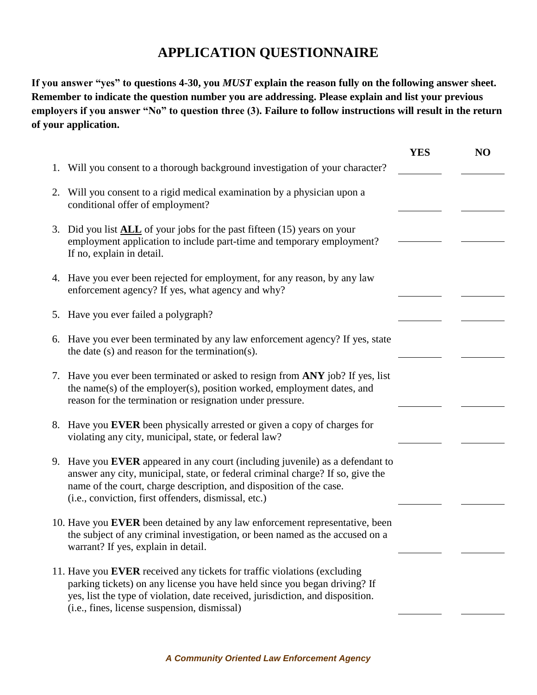## **APPLICATION QUESTIONNAIRE**

**If you answer "yes" to questions 4-30, you** *MUST* **explain the reason fully on the following answer sheet. Remember to indicate the question number you are addressing. Please explain and list your previous employers if you answer "No" to question three (3). Failure to follow instructions will result in the return of your application.** 

|    |                                                                                                                                                                                                                                                                                                | <b>YES</b> | N <sub>O</sub> |
|----|------------------------------------------------------------------------------------------------------------------------------------------------------------------------------------------------------------------------------------------------------------------------------------------------|------------|----------------|
| 1. | Will you consent to a thorough background investigation of your character?                                                                                                                                                                                                                     |            |                |
| 2. | Will you consent to a rigid medical examination by a physician upon a<br>conditional offer of employment?                                                                                                                                                                                      |            |                |
| 3. | Did you list $\Delta L L$ of your jobs for the past fifteen (15) years on your<br>employment application to include part-time and temporary employment?<br>If no, explain in detail.                                                                                                           |            |                |
|    | 4. Have you ever been rejected for employment, for any reason, by any law<br>enforcement agency? If yes, what agency and why?                                                                                                                                                                  |            |                |
|    | 5. Have you ever failed a polygraph?                                                                                                                                                                                                                                                           |            |                |
|    | 6. Have you ever been terminated by any law enforcement agency? If yes, state<br>the date (s) and reason for the termination(s).                                                                                                                                                               |            |                |
|    | 7. Have you ever been terminated or asked to resign from ANY job? If yes, list<br>the name(s) of the employer(s), position worked, employment dates, and<br>reason for the termination or resignation under pressure.                                                                          |            |                |
|    | 8. Have you EVER been physically arrested or given a copy of charges for<br>violating any city, municipal, state, or federal law?                                                                                                                                                              |            |                |
|    | 9. Have you EVER appeared in any court (including juvenile) as a defendant to<br>answer any city, municipal, state, or federal criminal charge? If so, give the<br>name of the court, charge description, and disposition of the case.<br>(i.e., conviction, first offenders, dismissal, etc.) |            |                |
|    | 10. Have you EVER been detained by any law enforcement representative, been<br>the subject of any criminal investigation, or been named as the accused on a<br>warrant? If yes, explain in detail.                                                                                             |            |                |
|    | 11. Have you EVER received any tickets for traffic violations (excluding<br>parking tickets) on any license you have held since you began driving? If<br>yes, list the type of violation, date received, jurisdiction, and disposition.<br>(i.e., fines, license suspension, dismissal)        |            |                |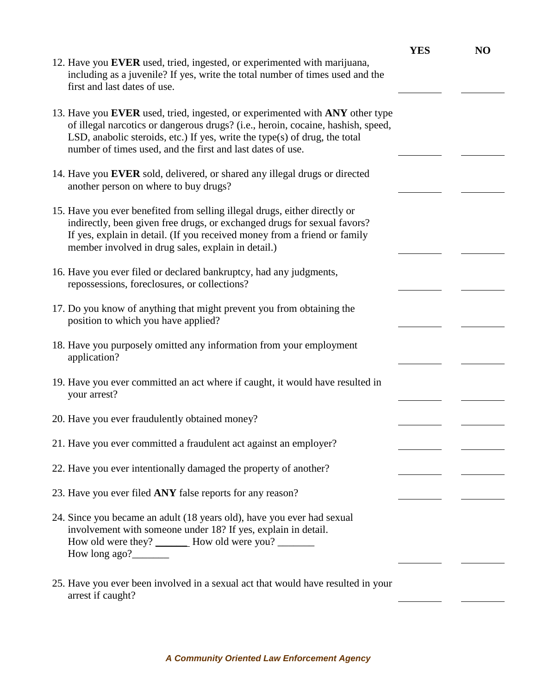| 12. Have you EVER used, tried, ingested, or experimented with marijuana,<br>including as a juvenile? If yes, write the total number of times used and the<br>first and last dates of use.                                                                                                                    | <b>YES</b> | N <sub>O</sub> |
|--------------------------------------------------------------------------------------------------------------------------------------------------------------------------------------------------------------------------------------------------------------------------------------------------------------|------------|----------------|
| 13. Have you EVER used, tried, ingested, or experimented with ANY other type<br>of illegal narcotics or dangerous drugs? (i.e., heroin, cocaine, hashish, speed,<br>LSD, anabolic steroids, etc.) If yes, write the type(s) of drug, the total<br>number of times used, and the first and last dates of use. |            |                |
| 14. Have you EVER sold, delivered, or shared any illegal drugs or directed<br>another person on where to buy drugs?                                                                                                                                                                                          |            |                |
| 15. Have you ever benefited from selling illegal drugs, either directly or<br>indirectly, been given free drugs, or exchanged drugs for sexual favors?<br>If yes, explain in detail. (If you received money from a friend or family<br>member involved in drug sales, explain in detail.)                    |            |                |
| 16. Have you ever filed or declared bankruptcy, had any judgments,<br>repossessions, foreclosures, or collections?                                                                                                                                                                                           |            |                |
| 17. Do you know of anything that might prevent you from obtaining the<br>position to which you have applied?                                                                                                                                                                                                 |            |                |
| 18. Have you purposely omitted any information from your employment<br>application?                                                                                                                                                                                                                          |            |                |
| 19. Have you ever committed an act where if caught, it would have resulted in<br>your arrest?                                                                                                                                                                                                                |            |                |
| 20. Have you ever fraudulently obtained money?                                                                                                                                                                                                                                                               |            |                |
| 21. Have you ever committed a fraudulent act against an employer?                                                                                                                                                                                                                                            |            |                |
| 22. Have you ever intentionally damaged the property of another?                                                                                                                                                                                                                                             |            |                |
| 23. Have you ever filed ANY false reports for any reason?                                                                                                                                                                                                                                                    |            |                |
| 24. Since you became an adult (18 years old), have you ever had sexual<br>involvement with someone under 18? If yes, explain in detail.<br>How old were they? _________ How old were you? _________<br>How long ago?                                                                                         |            |                |
| 25. Have you ever been involved in a sexual act that would have resulted in your<br>arrest if caught?                                                                                                                                                                                                        |            |                |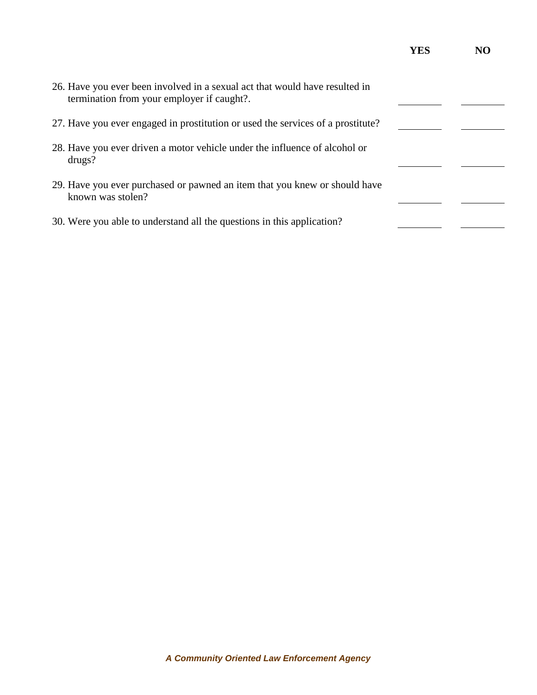|                                                                                                                           | YES |  |
|---------------------------------------------------------------------------------------------------------------------------|-----|--|
| 26. Have you ever been involved in a sexual act that would have resulted in<br>termination from your employer if caught?. |     |  |
| 27. Have you ever engaged in prostitution or used the services of a prostitute?                                           |     |  |
| 28. Have you ever driven a motor vehicle under the influence of alcohol or<br>drugs?                                      |     |  |
| 29. Have you ever purchased or pawned an item that you knew or should have<br>known was stolen?                           |     |  |
| 30. Were you able to understand all the questions in this application?                                                    |     |  |